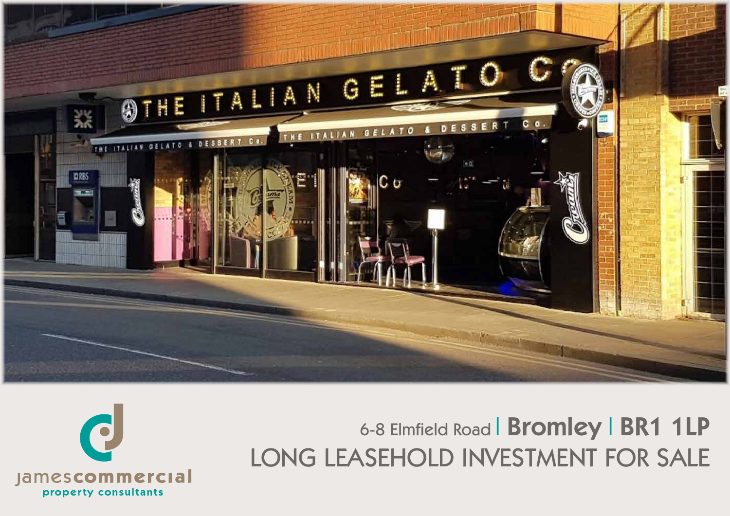

# 6-8 Elmfield Road | Bromley | BR1 1LP LONG LEASEHOLD INVESTMENT FOR SALE